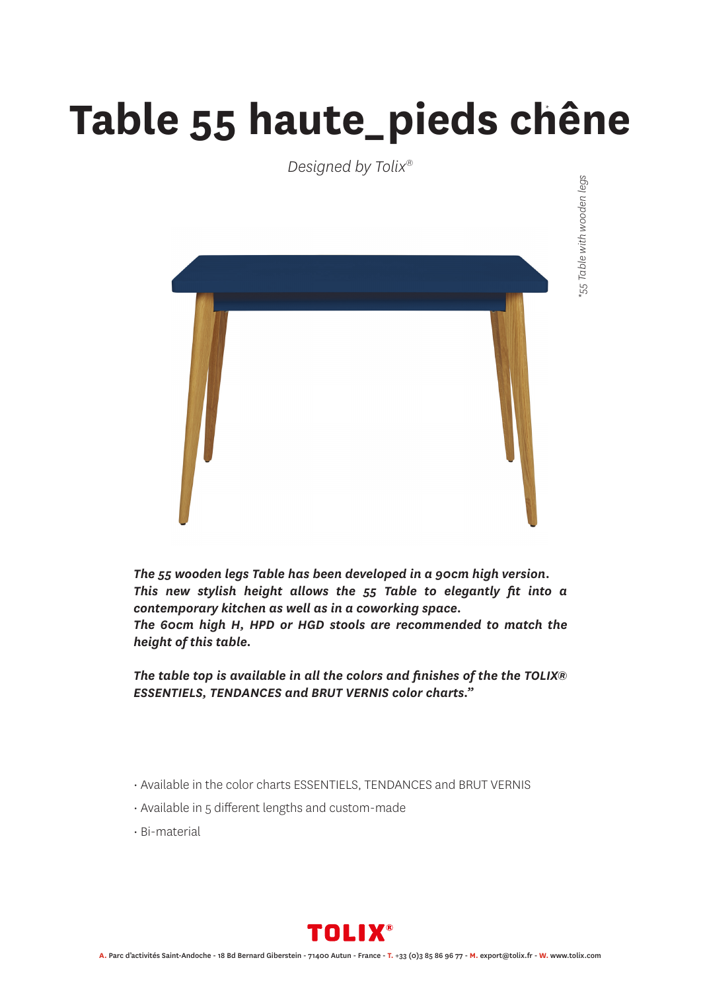## **Table 55 haute\_pieds chêne** *\**

*Designed by Tolix®*



*The 55 wooden legs Table has been developed in a 90cm high version. This new stylish height allows the 55 Table to elegantly fit into a contemporary kitchen as well as in a coworking space. The 60cm high H, HPD or HGD stools are recommended to match the height of this table.*

*The table top is available in all the colors and finishes of the the TOLIX® ESSENTIELS, TENDANCES and BRUT VERNIS color charts."*

- Available in the color charts ESSENTIELS, TENDANCES and BRUT VERNIS
- Available in 5 different lengths and custom-made
- Bi-material